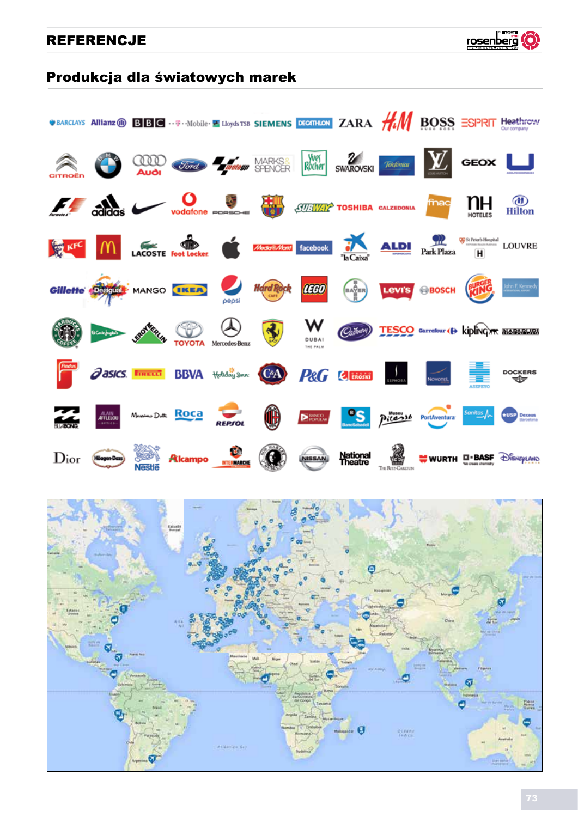

### Produkcja dla światowych marek



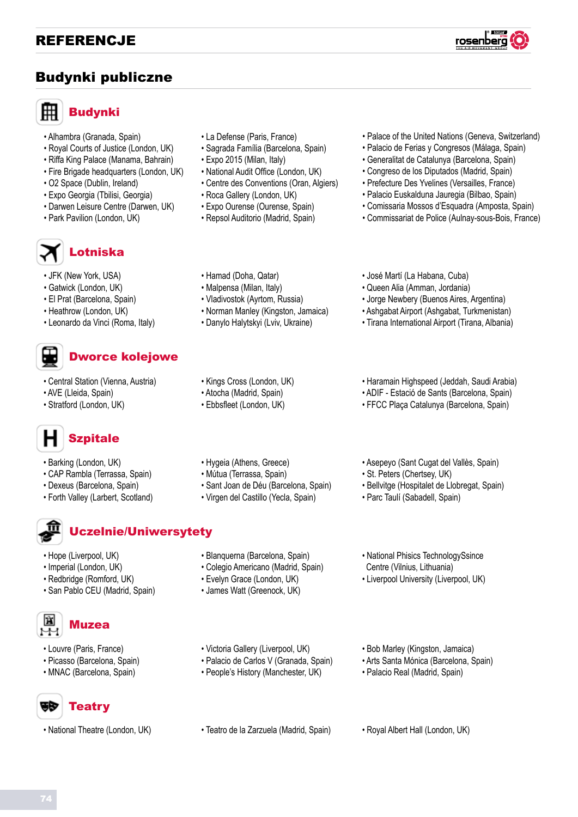### Budynki publiczne



## Budynki

- Alhambra (Granada, Spain)
- Royal Courts of Justice (London, UK)
- Riffa King Palace (Manama, Bahrain)
- Fire Brigade headquarters (London, UK)
- O2 Space (Dublin, Ireland)
- Expo Georgia (Tbilisi, Georgia)
- Darwen Leisure Centre (Darwen, UK)
- Park Pavilion (London, UK)



- JFK (New York, USA)
- Gatwick (London, UK)
- El Prat (Barcelona, Spain)
- Heathrow (London, UK)
- Leonardo da Vinci (Roma, Italy)

# Dworce kolejowe

- Central Station (Vienna, Austria)
- AVE (Lleida, Spain)
- Stratford (London, UK)



- Barking (London, UK)
- CAP Rambla (Terrassa, Spain)
- Dexeus (Barcelona, Spain)
- Forth Valley (Larbert, Scotland)



### Uczelnie/Uniwersytety

- Hope (Liverpool, UK)
- Imperial (London, UK)
- Redbridge (Romford, UK)
- San Pablo CEU (Madrid, Spain)



- Louvre (Paris, France)
- Picasso (Barcelona, Spain)
- MNAC (Barcelona, Spain)

#### ē₿ **Teatry**

• National Theatre (London, UK)

- La Defense (Paris, France)
- Sagrada Família (Barcelona, Spain)
- Expo 2015 (Milan, Italy)
- National Audit Office (London, UK)
- Centre des Conventions (Oran, Algiers)
- Roca Gallery (London, UK)
- Expo Ourense (Ourense, Spain)
- Repsol Auditorio (Madrid, Spain)
- Palace of the United Nations (Geneva, Switzerland)
- Palacio de Ferias y Congresos (Málaga, Spain)
- Generalitat de Catalunya (Barcelona, Spain)
- 
- Congreso de los Diputados (Madrid, Spain)
- Prefecture Des Yvelines (Versailles, France)
- Palacio Euskalduna Jauregia (Bilbao, Spain)
- Comissaria Mossos d'Esquadra (Amposta, Spain) • Commissariat de Police (Aulnay-sous-Bois, France)

- Hamad (Doha, Qatar)
- Malpensa (Milan, Italy)
- Vladivostok (Ayrtom, Russia)
- Norman Manley (Kingston, Jamaica)
- Danylo Halytskyi (Lviv, Ukraine)
- Kings Cross (London, UK)
- Atocha (Madrid, Spain)
- Ebbsfleet (London, UK)
- José Martí (La Habana, Cuba)
- Queen Alia (Amman, Jordania)
- Jorge Newbery (Buenos Aires, Argentina)
- Ashgabat Airport (Ashgabat, Turkmenistan)
- Tirana International Airport (Tirana, Albania)
- Haramain Highspeed (Jeddah, Saudi Arabia)
- ADIF Estació de Sants (Barcelona, Spain)
- FFCC Plaça Catalunya (Barcelona, Spain)

- Hygeia (Athens, Greece)
- Mútua (Terrassa, Spain)
- Sant Joan de Déu (Barcelona, Spain)
- Virgen del Castillo (Yecla, Spain)
- Asepeyo (Sant Cugat del Vallès, Spain) • St. Peters (Chertsey, UK)
	-
	- Bellvitge (Hospitalet de Llobregat, Spain)
	- Parc Taulí (Sabadell, Spain)
	- National Phisics TechnologySsince Centre (Vilnius, Lithuania)
	- Liverpool University (Liverpool, UK)
- Victoria Gallery (Liverpool, UK)
- Palacio de Carlos V (Granada, Spain)
- People's History (Manchester, UK)
- 
- Bob Marley (Kingston, Jamaica)
- Arts Santa Mónica (Barcelona, Spain)
- Palacio Real (Madrid, Spain)
- Teatro de la Zarzuela (Madrid, Spain) Royal Albert Hall (London, UK)
	-
- 
- 
- 

• Blanquerna (Barcelona, Spain) • Colegio Americano (Madrid, Spain) • Evelyn Grace (London, UK) • James Watt (Greenock, UK)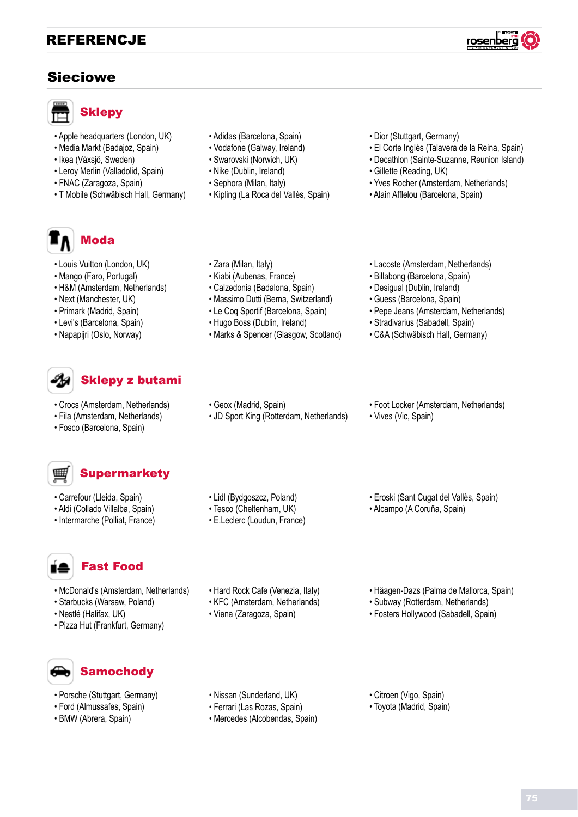### Sieciowe



### **Sklepy**

- Apple headquarters (London, UK)
- Media Markt (Badajoz, Spain)
- Ikea (Växsjö, Sweden)
- Leroy Merlin (Valladolid, Spain)
- FNAC (Zaragoza, Spain)
- T Mobile (Schwäbisch Hall, Germany)
- Adidas (Barcelona, Spain)
- Vodafone (Galway, Ireland)
- Swarovski (Norwich, UK)
- Nike (Dublin, Ireland)
- Sephora (Milan, Italy)

• Zara (Milan, Italy) • Kiabi (Aubenas, France) • Calzedonia (Badalona, Spain) • Massimo Dutti (Berna, Switzerland) • Le Coq Sportif (Barcelona, Spain) • Hugo Boss (Dublin, Ireland)

• Geox (Madrid, Spain)

• Lidl (Bydgoszcz, Poland) • Tesco (Cheltenham, UK) • E.Leclerc (Loudun, France)

• Kipling (La Roca del Vallès, Spain)

• Marks & Spencer (Glasgow, Scotland)

• JD Sport King (Rotterdam, Netherlands)

- Dior (Stuttgart, Germany)
- El Corte Inglés (Talavera de la Reina, Spain)
- Decathlon (Sainte-Suzanne, Reunion Island)
- Gillette (Reading, UK)
- Yves Rocher (Amsterdam, Netherlands)
- Alain Afflelou (Barcelona, Spain)

• Lacoste (Amsterdam, Netherlands) • Billabong (Barcelona, Spain) • Desigual (Dublin, Ireland) • Guess (Barcelona, Spain)

• Pepe Jeans (Amsterdam, Netherlands) • Stradivarius (Sabadell, Spain) • C&A (Schwäbisch Hall, Germany)



- Louis Vuitton (London, UK)
- Mango (Faro, Portugal)
- H&M (Amsterdam, Netherlands)
- Next (Manchester, UK)
- Primark (Madrid, Spain)
- Levi's (Barcelona, Spain)
- Napapijri (Oslo, Norway)

# Sklepy z butami

- Crocs (Amsterdam, Netherlands)
- Fila (Amsterdam, Netherlands)
- Fosco (Barcelona, Spain)



# **Supermarkety**

- Carrefour (Lleida, Spain)
- Aldi (Collado Villalba, Spain)
- Intermarche (Polliat, France)

## Fast Food

- McDonald's (Amsterdam, Netherlands)
- Starbucks (Warsaw, Poland)
- Nestlé (Halifax, UK)
- Pizza Hut (Frankfurt, Germany)

# **Samochody**

- Porsche (Stuttgart, Germany)
- Ford (Almussafes, Spain)
- BMW (Abrera, Spain)
- Nissan (Sunderland, UK)
- Ferrari (Las Rozas, Spain)
- Mercedes (Alcobendas, Spain)

• Hard Rock Cafe (Venezia, Italy) • KFC (Amsterdam, Netherlands) • Viena (Zaragoza, Spain)

- Citroen (Vigo, Spain)
- Toyota (Madrid, Spain)
- Foot Locker (Amsterdam, Netherlands)
- Vives (Vic, Spain)
- Eroski (Sant Cugat del Vallès, Spain)
- Alcampo (A Coruña, Spain)
	-

• Häagen-Dazs (Palma de Mallorca, Spain) • Subway (Rotterdam, Netherlands) • Fosters Hollywood (Sabadell, Spain)